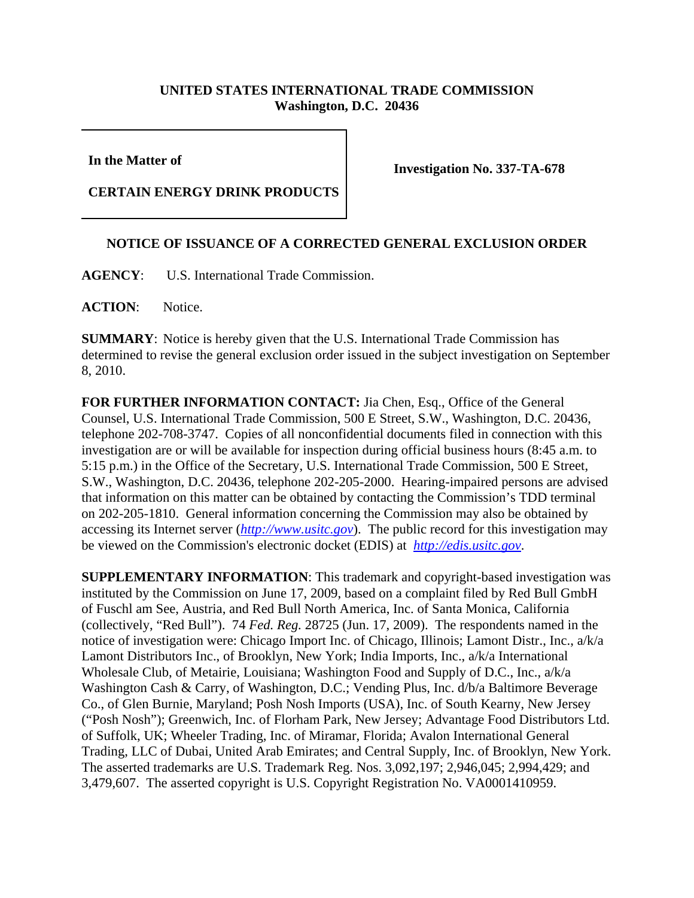## **UNITED STATES INTERNATIONAL TRADE COMMISSION Washington, D.C. 20436**

**In the Matter of** 

**Investigation No. 337-TA-678**

**CERTAIN ENERGY DRINK PRODUCTS**

## **NOTICE OF ISSUANCE OF A CORRECTED GENERAL EXCLUSION ORDER**

**AGENCY**: U.S. International Trade Commission.

**ACTION**: Notice.

**SUMMARY**: Notice is hereby given that the U.S. International Trade Commission has determined to revise the general exclusion order issued in the subject investigation on September 8, 2010.

**FOR FURTHER INFORMATION CONTACT:** Jia Chen, Esq., Office of the General Counsel, U.S. International Trade Commission, 500 E Street, S.W., Washington, D.C. 20436, telephone 202-708-3747. Copies of all nonconfidential documents filed in connection with this investigation are or will be available for inspection during official business hours (8:45 a.m. to 5:15 p.m.) in the Office of the Secretary, U.S. International Trade Commission, 500 E Street, S.W., Washington, D.C. 20436, telephone 202-205-2000. Hearing-impaired persons are advised that information on this matter can be obtained by contacting the Commission's TDD terminal on 202-205-1810. General information concerning the Commission may also be obtained by accessing its Internet server (*http://www.usitc.gov*). The public record for this investigation may be viewed on the Commission's electronic docket (EDIS) at *http://edis.usitc.gov*.

**SUPPLEMENTARY INFORMATION**: This trademark and copyright-based investigation was instituted by the Commission on June 17, 2009, based on a complaint filed by Red Bull GmbH of Fuschl am See, Austria, and Red Bull North America, Inc. of Santa Monica, California (collectively, "Red Bull"). 74 *Fed. Reg.* 28725 (Jun. 17, 2009). The respondents named in the notice of investigation were: Chicago Import Inc. of Chicago, Illinois; Lamont Distr., Inc., a/k/a Lamont Distributors Inc., of Brooklyn, New York; India Imports, Inc., a/k/a International Wholesale Club, of Metairie, Louisiana; Washington Food and Supply of D.C., Inc., a/k/a Washington Cash & Carry, of Washington, D.C.; Vending Plus, Inc. d/b/a Baltimore Beverage Co., of Glen Burnie, Maryland; Posh Nosh Imports (USA), Inc. of South Kearny, New Jersey ("Posh Nosh"); Greenwich, Inc. of Florham Park, New Jersey; Advantage Food Distributors Ltd. of Suffolk, UK; Wheeler Trading, Inc. of Miramar, Florida; Avalon International General Trading, LLC of Dubai, United Arab Emirates; and Central Supply, Inc. of Brooklyn, New York. The asserted trademarks are U.S. Trademark Reg. Nos. 3,092,197; 2,946,045; 2,994,429; and 3,479,607. The asserted copyright is U.S. Copyright Registration No. VA0001410959.